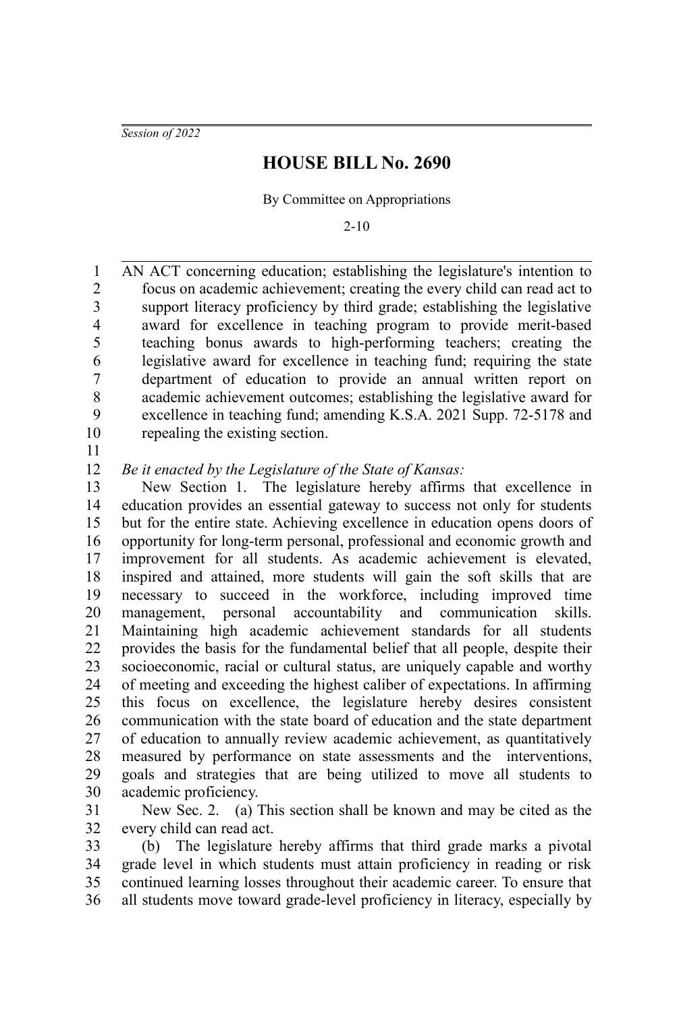*Session of 2022*

## **HOUSE BILL No. 2690**

By Committee on Appropriations

2-10

AN ACT concerning education; establishing the legislature's intention to focus on academic achievement; creating the every child can read act to support literacy proficiency by third grade; establishing the legislative award for excellence in teaching program to provide merit-based teaching bonus awards to high-performing teachers; creating the legislative award for excellence in teaching fund; requiring the state department of education to provide an annual written report on academic achievement outcomes; establishing the legislative award for excellence in teaching fund; amending K.S.A. 2021 Supp. 72-5178 and repealing the existing section. 1 2 3 4 5 6 7 8 9 10

11

*Be it enacted by the Legislature of the State of Kansas:* 12

New Section 1. The legislature hereby affirms that excellence in education provides an essential gateway to success not only for students but for the entire state. Achieving excellence in education opens doors of opportunity for long-term personal, professional and economic growth and improvement for all students. As academic achievement is elevated, inspired and attained, more students will gain the soft skills that are necessary to succeed in the workforce, including improved time management, personal accountability and communication skills. Maintaining high academic achievement standards for all students provides the basis for the fundamental belief that all people, despite their socioeconomic, racial or cultural status, are uniquely capable and worthy of meeting and exceeding the highest caliber of expectations. In affirming this focus on excellence, the legislature hereby desires consistent communication with the state board of education and the state department of education to annually review academic achievement, as quantitatively measured by performance on state assessments and the interventions, goals and strategies that are being utilized to move all students to academic proficiency. 13 14 15 16 17 18 19 20 21 22 23 24 25 26 27 28 29 30

New Sec. 2. (a) This section shall be known and may be cited as the every child can read act. 31 32

(b) The legislature hereby affirms that third grade marks a pivotal grade level in which students must attain proficiency in reading or risk continued learning losses throughout their academic career. To ensure that all students move toward grade-level proficiency in literacy, especially by 33 34 35 36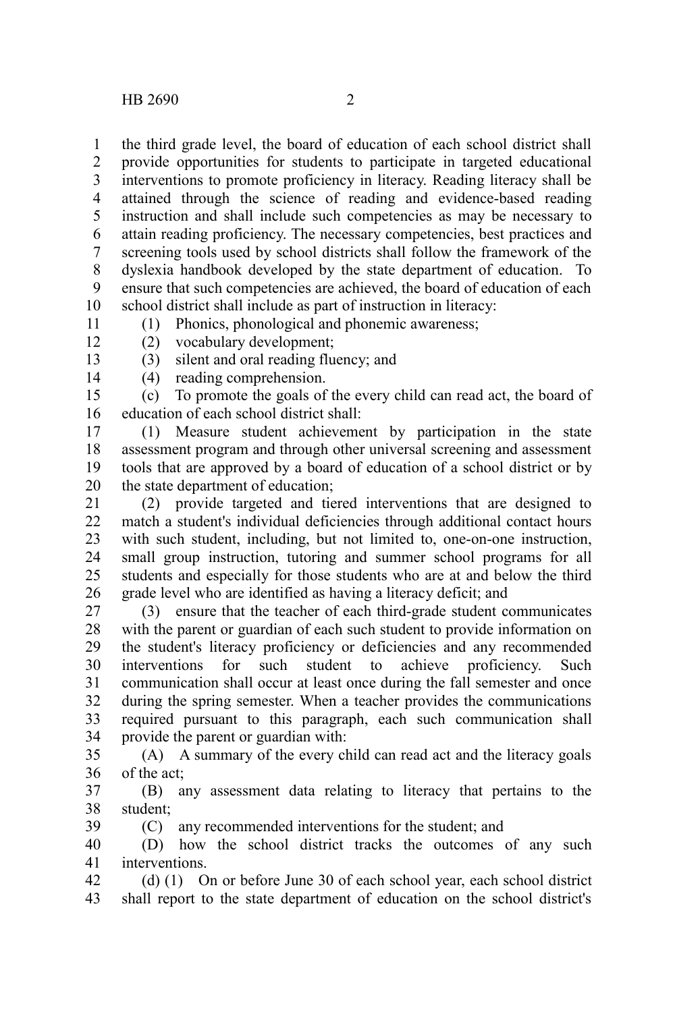the third grade level, the board of education of each school district shall provide opportunities for students to participate in targeted educational interventions to promote proficiency in literacy. Reading literacy shall be attained through the science of reading and evidence-based reading instruction and shall include such competencies as may be necessary to attain reading proficiency. The necessary competencies, best practices and screening tools used by school districts shall follow the framework of the dyslexia handbook developed by the state department of education. To ensure that such competencies are achieved, the board of education of each school district shall include as part of instruction in literacy: 1 2 3 4 5 6 7 8 9 10

11

(1) Phonics, phonological and phonemic awareness;

- 12 13
- (2) vocabulary development; (3) silent and oral reading fluency; and
- (4) reading comprehension. 14
- (c) To promote the goals of the every child can read act, the board of education of each school district shall: 15 16

(1) Measure student achievement by participation in the state assessment program and through other universal screening and assessment tools that are approved by a board of education of a school district or by the state department of education; 17 18 19 20

(2) provide targeted and tiered interventions that are designed to match a student's individual deficiencies through additional contact hours with such student, including, but not limited to, one-on-one instruction, small group instruction, tutoring and summer school programs for all students and especially for those students who are at and below the third grade level who are identified as having a literacy deficit; and 21 22 23 24 25 26

(3) ensure that the teacher of each third-grade student communicates with the parent or guardian of each such student to provide information on the student's literacy proficiency or deficiencies and any recommended interventions for such student to achieve proficiency. Such communication shall occur at least once during the fall semester and once during the spring semester. When a teacher provides the communications required pursuant to this paragraph, each such communication shall provide the parent or guardian with: 27 28 29 30 31 32 33 34

(A) A summary of the every child can read act and the literacy goals of the act; 35 36

(B) any assessment data relating to literacy that pertains to the student; 37 38

(C) any recommended interventions for the student; and 39

(D) how the school district tracks the outcomes of any such interventions. 40 41

(d) (1) On or before June 30 of each school year, each school district shall report to the state department of education on the school district's 42 43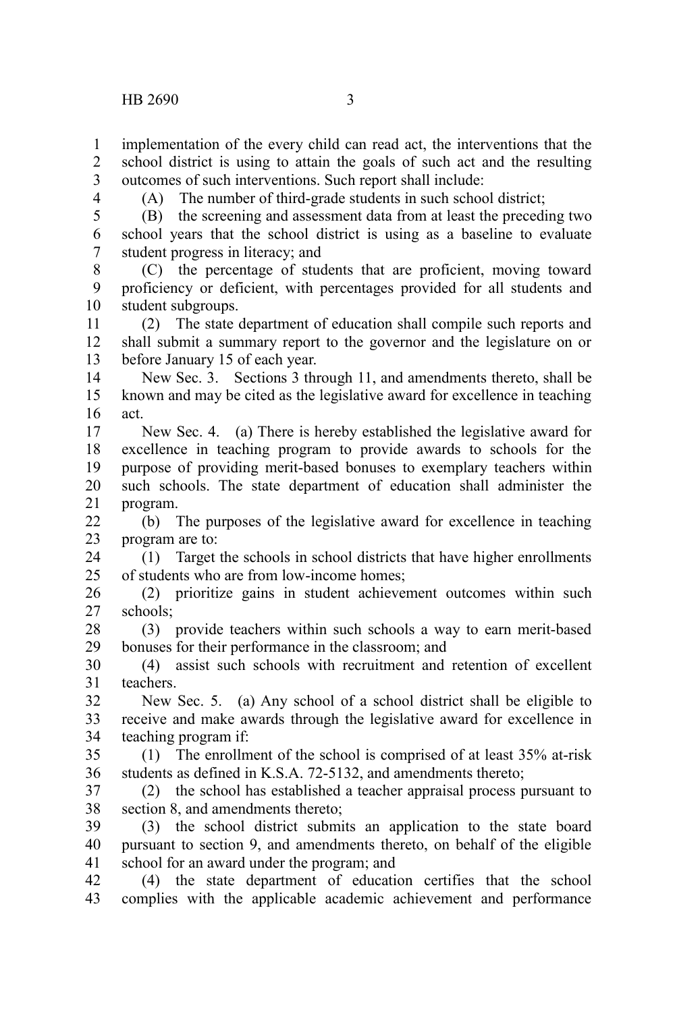implementation of the every child can read act, the interventions that the school district is using to attain the goals of such act and the resulting outcomes of such interventions. Such report shall include: 1  $\mathcal{L}$ 3

4

(A) The number of third-grade students in such school district;

(B) the screening and assessment data from at least the preceding two school years that the school district is using as a baseline to evaluate student progress in literacy; and 5 6 7

(C) the percentage of students that are proficient, moving toward proficiency or deficient, with percentages provided for all students and student subgroups. 8 9 10

(2) The state department of education shall compile such reports and shall submit a summary report to the governor and the legislature on or before January 15 of each year. 11 12 13

New Sec. 3. Sections 3 through 11, and amendments thereto, shall be known and may be cited as the legislative award for excellence in teaching act. 14 15 16

New Sec. 4. (a) There is hereby established the legislative award for excellence in teaching program to provide awards to schools for the purpose of providing merit-based bonuses to exemplary teachers within such schools. The state department of education shall administer the program. 17 18 19 20 21

(b) The purposes of the legislative award for excellence in teaching program are to: 22 23

(1) Target the schools in school districts that have higher enrollments of students who are from low-income homes; 24  $25$ 

(2) prioritize gains in student achievement outcomes within such schools; 26 27

(3) provide teachers within such schools a way to earn merit-based bonuses for their performance in the classroom; and 28 29

(4) assist such schools with recruitment and retention of excellent teachers. 30 31

New Sec. 5. (a) Any school of a school district shall be eligible to receive and make awards through the legislative award for excellence in teaching program if: 32 33 34

(1) The enrollment of the school is comprised of at least 35% at-risk students as defined in K.S.A. 72-5132, and amendments thereto; 35 36

(2) the school has established a teacher appraisal process pursuant to section 8, and amendments thereto; 37 38

(3) the school district submits an application to the state board pursuant to section 9, and amendments thereto, on behalf of the eligible school for an award under the program; and 39 40 41

(4) the state department of education certifies that the school complies with the applicable academic achievement and performance 42 43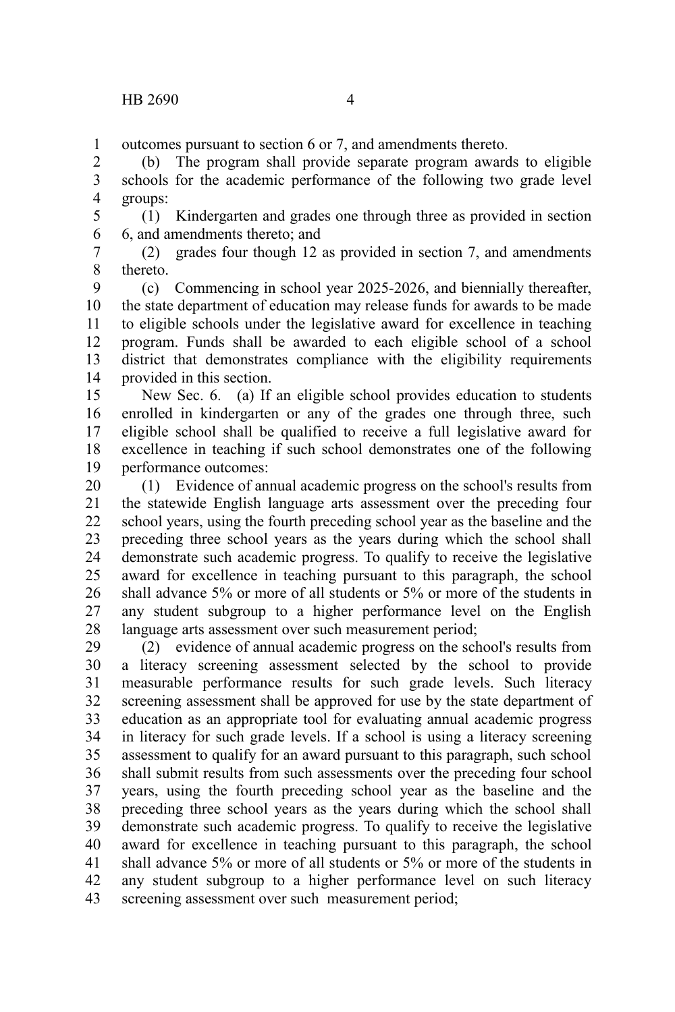outcomes pursuant to section 6 or 7, and amendments thereto. 1

(b) The program shall provide separate program awards to eligible schools for the academic performance of the following two grade level groups: 2 3 4

(1) Kindergarten and grades one through three as provided in section 6, and amendments thereto; and 5 6

(2) grades four though 12 as provided in section 7, and amendments thereto. 7 8

(c) Commencing in school year 2025-2026, and biennially thereafter, the state department of education may release funds for awards to be made to eligible schools under the legislative award for excellence in teaching program. Funds shall be awarded to each eligible school of a school district that demonstrates compliance with the eligibility requirements provided in this section. 9 10 11 12 13 14

New Sec. 6. (a) If an eligible school provides education to students enrolled in kindergarten or any of the grades one through three, such eligible school shall be qualified to receive a full legislative award for excellence in teaching if such school demonstrates one of the following performance outcomes: 15 16 17 18 19

(1) Evidence of annual academic progress on the school's results from the statewide English language arts assessment over the preceding four school years, using the fourth preceding school year as the baseline and the preceding three school years as the years during which the school shall demonstrate such academic progress. To qualify to receive the legislative award for excellence in teaching pursuant to this paragraph, the school shall advance 5% or more of all students or 5% or more of the students in any student subgroup to a higher performance level on the English language arts assessment over such measurement period; 20 21 22 23 24 25 26 27 28

(2) evidence of annual academic progress on the school's results from a literacy screening assessment selected by the school to provide measurable performance results for such grade levels. Such literacy screening assessment shall be approved for use by the state department of education as an appropriate tool for evaluating annual academic progress in literacy for such grade levels. If a school is using a literacy screening assessment to qualify for an award pursuant to this paragraph, such school shall submit results from such assessments over the preceding four school years, using the fourth preceding school year as the baseline and the preceding three school years as the years during which the school shall demonstrate such academic progress. To qualify to receive the legislative award for excellence in teaching pursuant to this paragraph, the school shall advance 5% or more of all students or 5% or more of the students in any student subgroup to a higher performance level on such literacy screening assessment over such measurement period; 29 30 31 32 33 34 35 36 37 38 39 40 41 42 43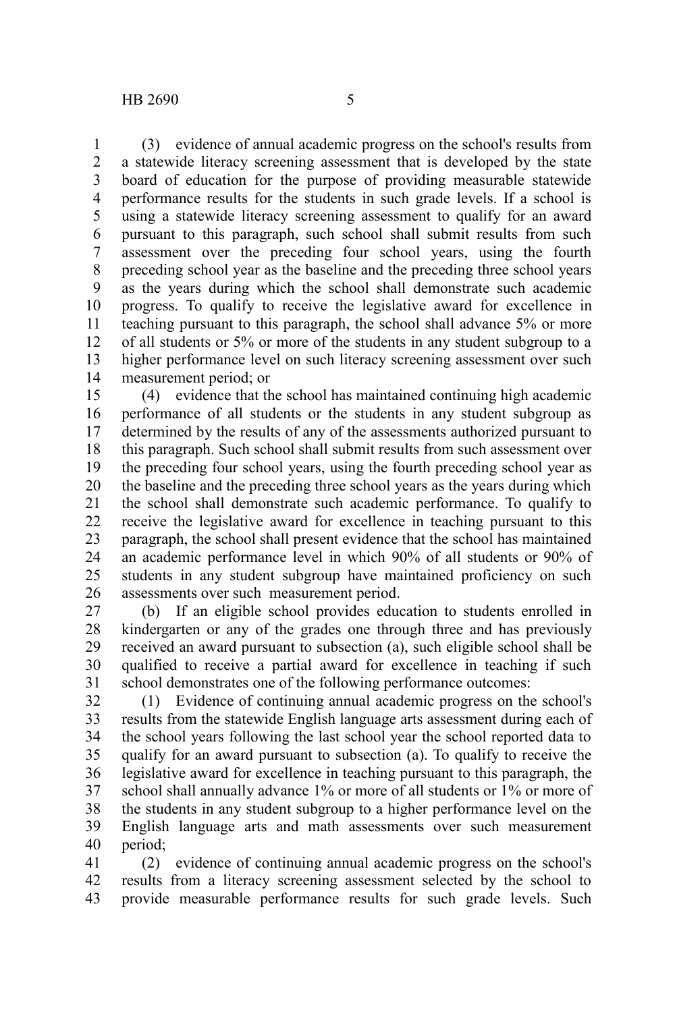(3) evidence of annual academic progress on the school's results from a statewide literacy screening assessment that is developed by the state board of education for the purpose of providing measurable statewide performance results for the students in such grade levels. If a school is using a statewide literacy screening assessment to qualify for an award pursuant to this paragraph, such school shall submit results from such assessment over the preceding four school years, using the fourth preceding school year as the baseline and the preceding three school years as the years during which the school shall demonstrate such academic progress. To qualify to receive the legislative award for excellence in teaching pursuant to this paragraph, the school shall advance 5% or more of all students or 5% or more of the students in any student subgroup to a higher performance level on such literacy screening assessment over such 1 2 3 4 5 6 7 8 9 10 11 12 13

measurement period; or 14

(4) evidence that the school has maintained continuing high academic performance of all students or the students in any student subgroup as determined by the results of any of the assessments authorized pursuant to this paragraph. Such school shall submit results from such assessment over the preceding four school years, using the fourth preceding school year as the baseline and the preceding three school years as the years during which the school shall demonstrate such academic performance. To qualify to receive the legislative award for excellence in teaching pursuant to this paragraph, the school shall present evidence that the school has maintained an academic performance level in which 90% of all students or 90% of students in any student subgroup have maintained proficiency on such assessments over such measurement period. 15 16 17 18 19 20 21 22 23 24 25 26

(b) If an eligible school provides education to students enrolled in kindergarten or any of the grades one through three and has previously received an award pursuant to subsection (a), such eligible school shall be qualified to receive a partial award for excellence in teaching if such school demonstrates one of the following performance outcomes: 27 28 29 30 31

(1) Evidence of continuing annual academic progress on the school's results from the statewide English language arts assessment during each of the school years following the last school year the school reported data to qualify for an award pursuant to subsection (a). To qualify to receive the legislative award for excellence in teaching pursuant to this paragraph, the school shall annually advance 1% or more of all students or 1% or more of the students in any student subgroup to a higher performance level on the English language arts and math assessments over such measurement period; 32 33 34 35 36 37 38 39 40

(2) evidence of continuing annual academic progress on the school's results from a literacy screening assessment selected by the school to provide measurable performance results for such grade levels. Such 41 42 43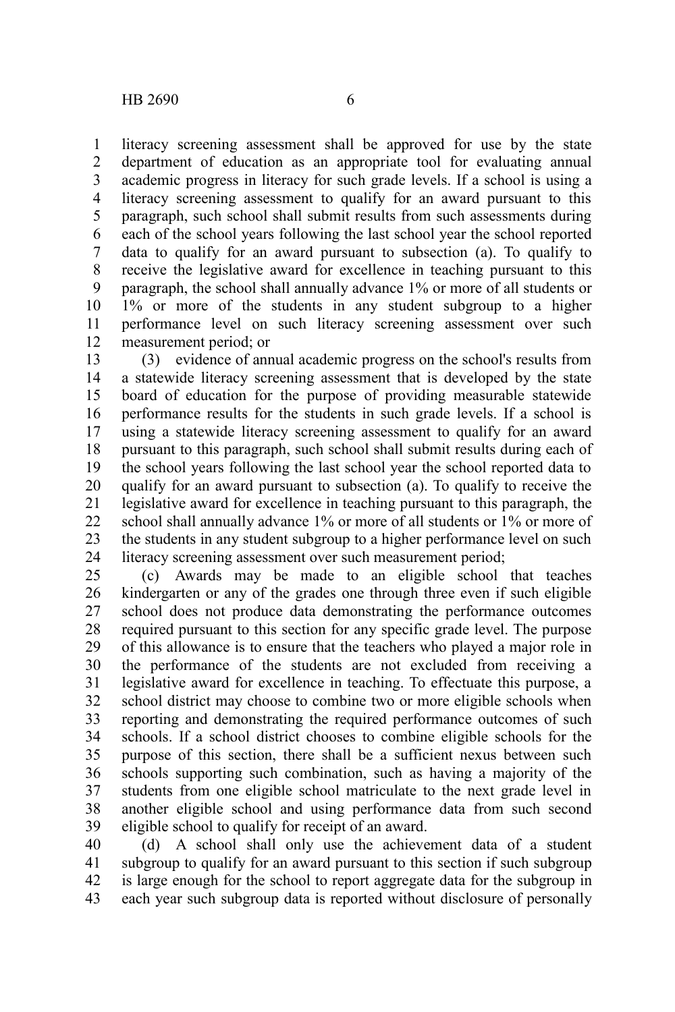literacy screening assessment shall be approved for use by the state department of education as an appropriate tool for evaluating annual academic progress in literacy for such grade levels. If a school is using a literacy screening assessment to qualify for an award pursuant to this paragraph, such school shall submit results from such assessments during each of the school years following the last school year the school reported data to qualify for an award pursuant to subsection (a). To qualify to receive the legislative award for excellence in teaching pursuant to this paragraph, the school shall annually advance 1% or more of all students or 1% or more of the students in any student subgroup to a higher performance level on such literacy screening assessment over such measurement period; or 1 2 3 4 5 6 7 8 9 10 11 12

(3) evidence of annual academic progress on the school's results from a statewide literacy screening assessment that is developed by the state board of education for the purpose of providing measurable statewide performance results for the students in such grade levels. If a school is using a statewide literacy screening assessment to qualify for an award pursuant to this paragraph, such school shall submit results during each of the school years following the last school year the school reported data to qualify for an award pursuant to subsection (a). To qualify to receive the legislative award for excellence in teaching pursuant to this paragraph, the school shall annually advance 1% or more of all students or 1% or more of the students in any student subgroup to a higher performance level on such literacy screening assessment over such measurement period; 13 14 15 16 17 18 19 20 21 22 23 24

(c) Awards may be made to an eligible school that teaches kindergarten or any of the grades one through three even if such eligible school does not produce data demonstrating the performance outcomes required pursuant to this section for any specific grade level. The purpose of this allowance is to ensure that the teachers who played a major role in the performance of the students are not excluded from receiving a legislative award for excellence in teaching. To effectuate this purpose, a school district may choose to combine two or more eligible schools when reporting and demonstrating the required performance outcomes of such schools. If a school district chooses to combine eligible schools for the purpose of this section, there shall be a sufficient nexus between such schools supporting such combination, such as having a majority of the students from one eligible school matriculate to the next grade level in another eligible school and using performance data from such second eligible school to qualify for receipt of an award. 25 26 27 28 29 30 31 32 33 34 35 36 37 38 39

(d) A school shall only use the achievement data of a student subgroup to qualify for an award pursuant to this section if such subgroup is large enough for the school to report aggregate data for the subgroup in each year such subgroup data is reported without disclosure of personally 40 41 42 43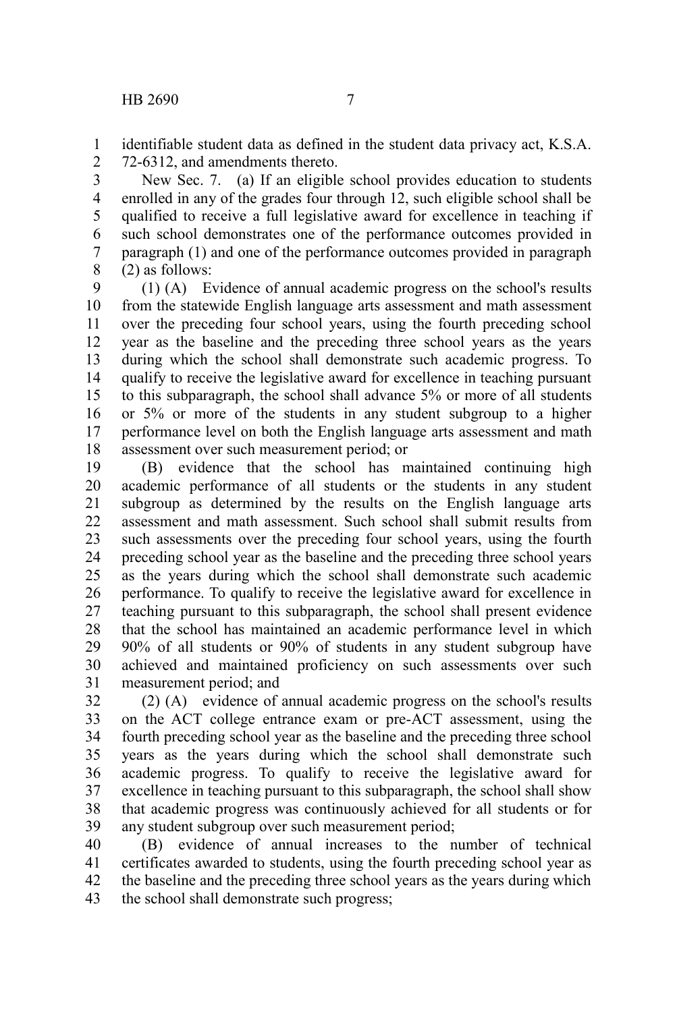identifiable student data as defined in the student data privacy act, K.S.A. 72-6312, and amendments thereto. 1 2

New Sec. 7. (a) If an eligible school provides education to students enrolled in any of the grades four through 12, such eligible school shall be qualified to receive a full legislative award for excellence in teaching if such school demonstrates one of the performance outcomes provided in paragraph (1) and one of the performance outcomes provided in paragraph (2) as follows: 3 4 5 6 7 8

(1) (A) Evidence of annual academic progress on the school's results from the statewide English language arts assessment and math assessment over the preceding four school years, using the fourth preceding school year as the baseline and the preceding three school years as the years during which the school shall demonstrate such academic progress. To qualify to receive the legislative award for excellence in teaching pursuant to this subparagraph, the school shall advance 5% or more of all students or 5% or more of the students in any student subgroup to a higher performance level on both the English language arts assessment and math assessment over such measurement period; or 9 10 11 12 13 14 15 16 17 18

(B) evidence that the school has maintained continuing high academic performance of all students or the students in any student subgroup as determined by the results on the English language arts assessment and math assessment. Such school shall submit results from such assessments over the preceding four school years, using the fourth preceding school year as the baseline and the preceding three school years as the years during which the school shall demonstrate such academic performance. To qualify to receive the legislative award for excellence in teaching pursuant to this subparagraph, the school shall present evidence that the school has maintained an academic performance level in which 90% of all students or 90% of students in any student subgroup have achieved and maintained proficiency on such assessments over such measurement period; and 19 20 21 22 23 24 25 26 27 28 29 30 31

(2) (A) evidence of annual academic progress on the school's results on the ACT college entrance exam or pre-ACT assessment, using the fourth preceding school year as the baseline and the preceding three school years as the years during which the school shall demonstrate such academic progress. To qualify to receive the legislative award for excellence in teaching pursuant to this subparagraph, the school shall show that academic progress was continuously achieved for all students or for any student subgroup over such measurement period; 32 33 34 35 36 37 38 39

(B) evidence of annual increases to the number of technical certificates awarded to students, using the fourth preceding school year as the baseline and the preceding three school years as the years during which the school shall demonstrate such progress; 40 41 42 43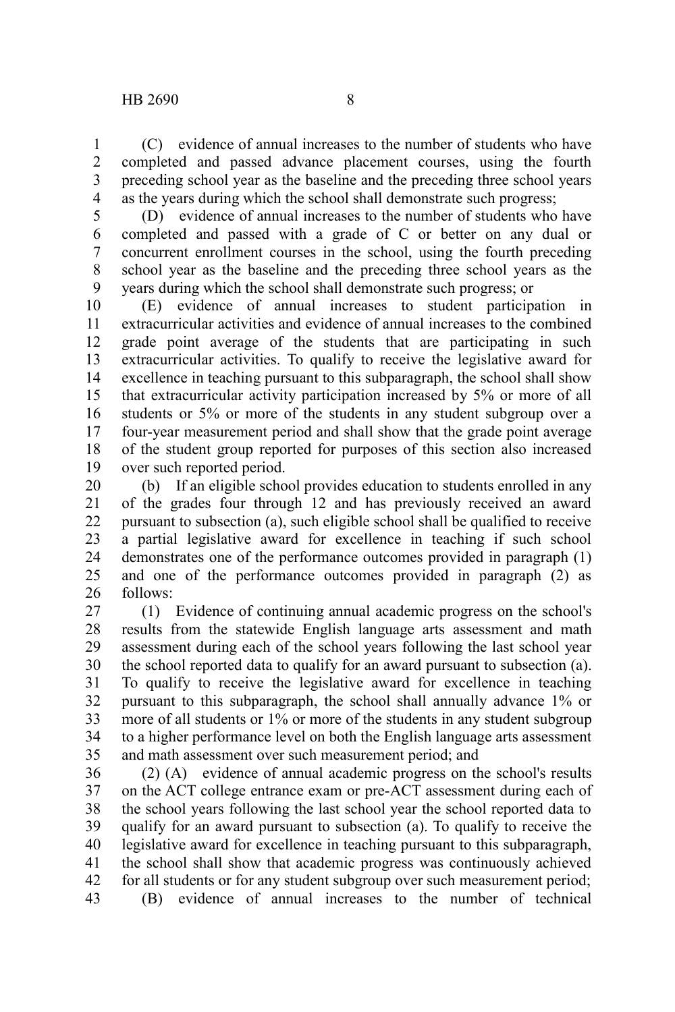(C) evidence of annual increases to the number of students who have completed and passed advance placement courses, using the fourth preceding school year as the baseline and the preceding three school years as the years during which the school shall demonstrate such progress; 1 2 3 4

5

(D) evidence of annual increases to the number of students who have completed and passed with a grade of C or better on any dual or concurrent enrollment courses in the school, using the fourth preceding school year as the baseline and the preceding three school years as the years during which the school shall demonstrate such progress; or 6 7 8 9

(E) evidence of annual increases to student participation in extracurricular activities and evidence of annual increases to the combined grade point average of the students that are participating in such extracurricular activities. To qualify to receive the legislative award for excellence in teaching pursuant to this subparagraph, the school shall show that extracurricular activity participation increased by 5% or more of all students or 5% or more of the students in any student subgroup over a four-year measurement period and shall show that the grade point average of the student group reported for purposes of this section also increased over such reported period. 10 11 12 13 14 15 16 17 18 19

(b) If an eligible school provides education to students enrolled in any of the grades four through 12 and has previously received an award pursuant to subsection (a), such eligible school shall be qualified to receive a partial legislative award for excellence in teaching if such school demonstrates one of the performance outcomes provided in paragraph (1) and one of the performance outcomes provided in paragraph (2) as follows: 20 21 22 23 24 25 26

(1) Evidence of continuing annual academic progress on the school's results from the statewide English language arts assessment and math assessment during each of the school years following the last school year the school reported data to qualify for an award pursuant to subsection (a). To qualify to receive the legislative award for excellence in teaching pursuant to this subparagraph, the school shall annually advance 1% or more of all students or 1% or more of the students in any student subgroup to a higher performance level on both the English language arts assessment and math assessment over such measurement period; and 27 28 29 30 31 32 33 34 35

(2) (A) evidence of annual academic progress on the school's results on the ACT college entrance exam or pre-ACT assessment during each of the school years following the last school year the school reported data to qualify for an award pursuant to subsection (a). To qualify to receive the legislative award for excellence in teaching pursuant to this subparagraph, the school shall show that academic progress was continuously achieved for all students or for any student subgroup over such measurement period; (B) evidence of annual increases to the number of technical 36 37 38 39 40 41 42 43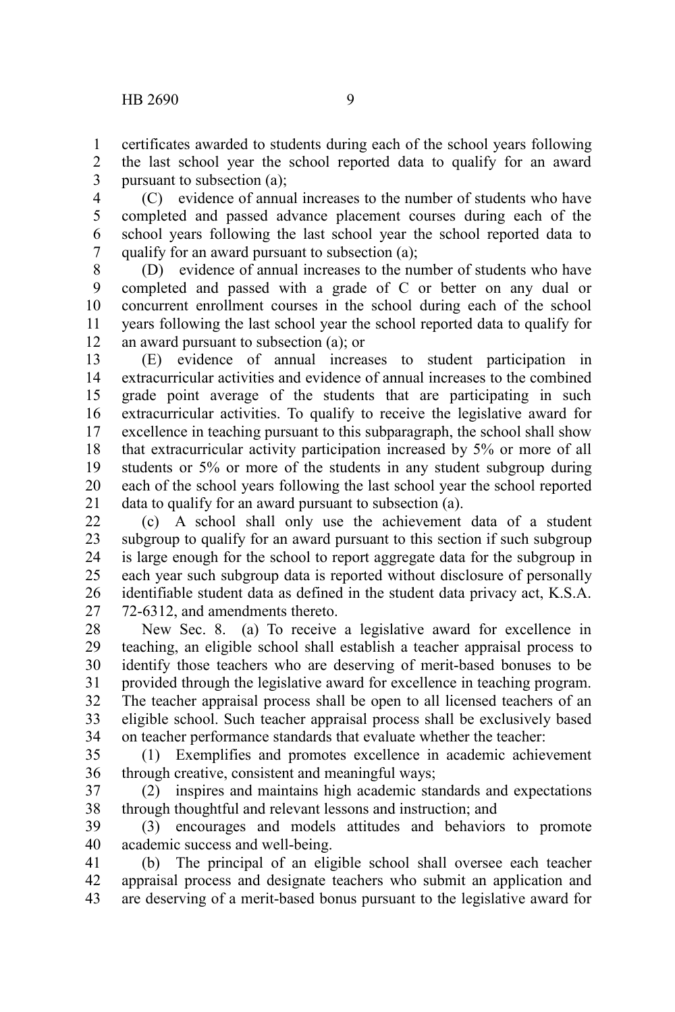certificates awarded to students during each of the school years following the last school year the school reported data to qualify for an award pursuant to subsection (a); 1 2 3

(C) evidence of annual increases to the number of students who have completed and passed advance placement courses during each of the school years following the last school year the school reported data to qualify for an award pursuant to subsection (a); 4 5 6 7

(D) evidence of annual increases to the number of students who have completed and passed with a grade of C or better on any dual or concurrent enrollment courses in the school during each of the school years following the last school year the school reported data to qualify for an award pursuant to subsection (a); or 8 9 10 11 12

(E) evidence of annual increases to student participation in extracurricular activities and evidence of annual increases to the combined grade point average of the students that are participating in such extracurricular activities. To qualify to receive the legislative award for excellence in teaching pursuant to this subparagraph, the school shall show that extracurricular activity participation increased by 5% or more of all students or 5% or more of the students in any student subgroup during each of the school years following the last school year the school reported data to qualify for an award pursuant to subsection (a). 13 14 15 16 17 18 19 20 21

(c) A school shall only use the achievement data of a student subgroup to qualify for an award pursuant to this section if such subgroup is large enough for the school to report aggregate data for the subgroup in each year such subgroup data is reported without disclosure of personally identifiable student data as defined in the student data privacy act, K.S.A. 72-6312, and amendments thereto.  $22$ 23 24 25 26 27

New Sec. 8. (a) To receive a legislative award for excellence in teaching, an eligible school shall establish a teacher appraisal process to identify those teachers who are deserving of merit-based bonuses to be provided through the legislative award for excellence in teaching program. The teacher appraisal process shall be open to all licensed teachers of an 28 29 30 31 32

eligible school. Such teacher appraisal process shall be exclusively based on teacher performance standards that evaluate whether the teacher: 33 34

(1) Exemplifies and promotes excellence in academic achievement through creative, consistent and meaningful ways; 35 36

(2) inspires and maintains high academic standards and expectations through thoughtful and relevant lessons and instruction; and 37 38

(3) encourages and models attitudes and behaviors to promote academic success and well-being. 39 40

(b) The principal of an eligible school shall oversee each teacher appraisal process and designate teachers who submit an application and are deserving of a merit-based bonus pursuant to the legislative award for 41 42 43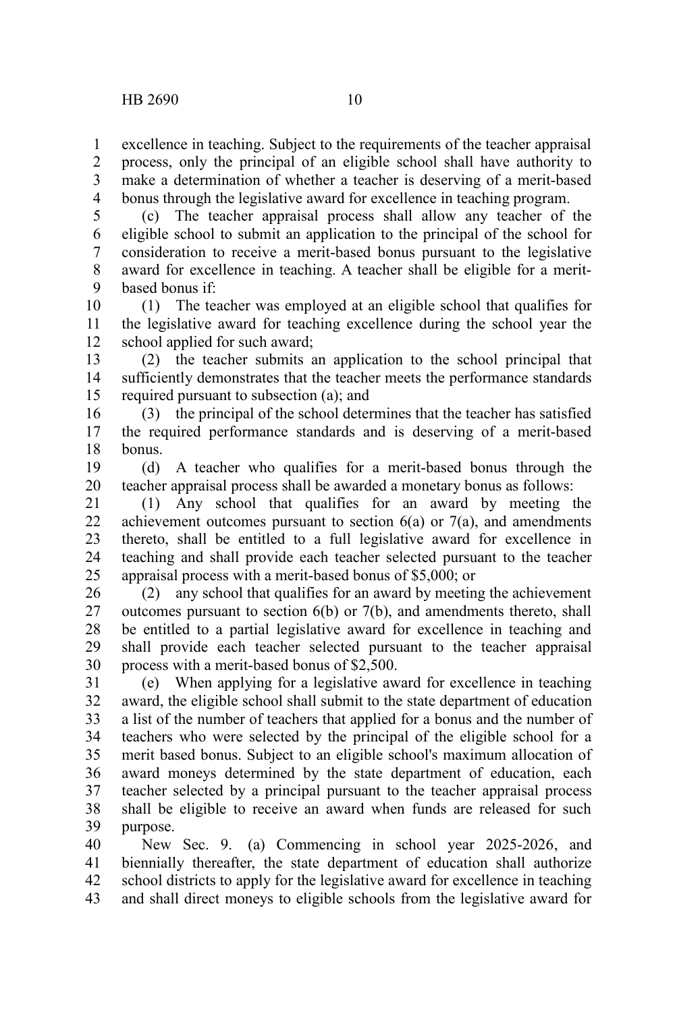excellence in teaching. Subject to the requirements of the teacher appraisal process, only the principal of an eligible school shall have authority to make a determination of whether a teacher is deserving of a merit-based bonus through the legislative award for excellence in teaching program. 1 2 3 4

(c) The teacher appraisal process shall allow any teacher of the eligible school to submit an application to the principal of the school for consideration to receive a merit-based bonus pursuant to the legislative award for excellence in teaching. A teacher shall be eligible for a meritbased bonus if: 5 6 7 8 9

(1) The teacher was employed at an eligible school that qualifies for the legislative award for teaching excellence during the school year the school applied for such award; 10 11 12

(2) the teacher submits an application to the school principal that sufficiently demonstrates that the teacher meets the performance standards required pursuant to subsection (a); and 13 14 15

(3) the principal of the school determines that the teacher has satisfied the required performance standards and is deserving of a merit-based bonus. 16 17 18

(d) A teacher who qualifies for a merit-based bonus through the teacher appraisal process shall be awarded a monetary bonus as follows: 19 20

(1) Any school that qualifies for an award by meeting the achievement outcomes pursuant to section  $6(a)$  or  $7(a)$ , and amendments thereto, shall be entitled to a full legislative award for excellence in teaching and shall provide each teacher selected pursuant to the teacher appraisal process with a merit-based bonus of \$5,000; or 21 22 23 24 25

(2) any school that qualifies for an award by meeting the achievement outcomes pursuant to section 6(b) or 7(b), and amendments thereto, shall be entitled to a partial legislative award for excellence in teaching and shall provide each teacher selected pursuant to the teacher appraisal process with a merit-based bonus of \$2,500. 26 27 28 29 30

(e) When applying for a legislative award for excellence in teaching award, the eligible school shall submit to the state department of education a list of the number of teachers that applied for a bonus and the number of teachers who were selected by the principal of the eligible school for a merit based bonus. Subject to an eligible school's maximum allocation of award moneys determined by the state department of education, each teacher selected by a principal pursuant to the teacher appraisal process shall be eligible to receive an award when funds are released for such purpose. 31 32 33 34 35 36 37 38 39

New Sec. 9. (a) Commencing in school year 2025-2026, and biennially thereafter, the state department of education shall authorize school districts to apply for the legislative award for excellence in teaching and shall direct moneys to eligible schools from the legislative award for 40 41 42 43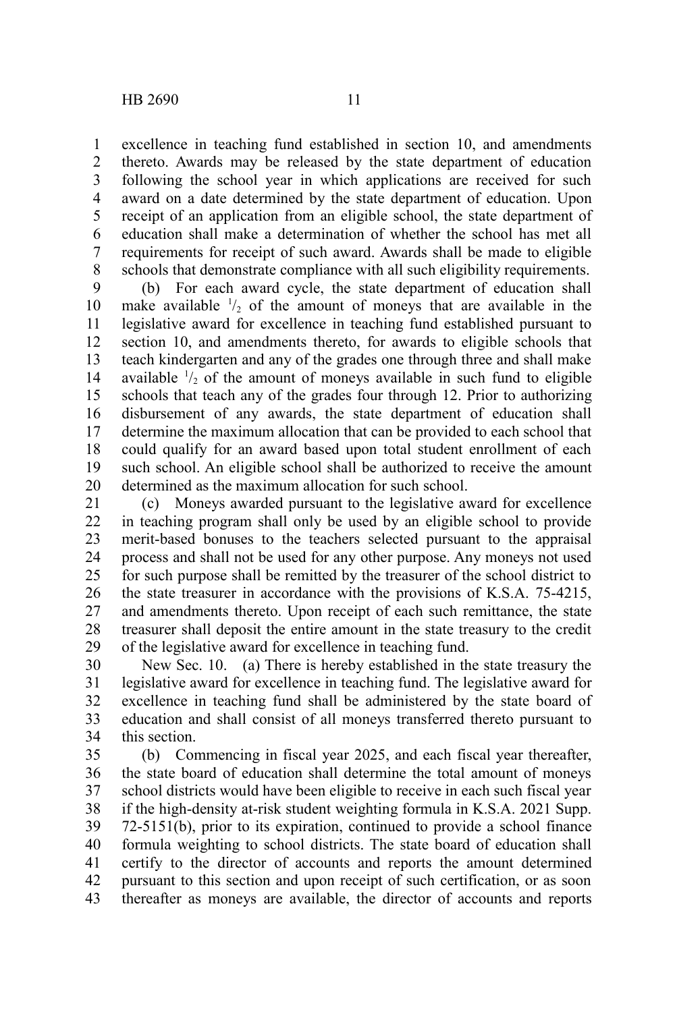excellence in teaching fund established in section 10, and amendments thereto. Awards may be released by the state department of education following the school year in which applications are received for such award on a date determined by the state department of education. Upon receipt of an application from an eligible school, the state department of education shall make a determination of whether the school has met all requirements for receipt of such award. Awards shall be made to eligible schools that demonstrate compliance with all such eligibility requirements. 1 2 3 4 5 6 7 8

(b) For each award cycle, the state department of education shall make available  $\frac{1}{2}$  of the amount of moneys that are available in the legislative award for excellence in teaching fund established pursuant to section 10, and amendments thereto, for awards to eligible schools that teach kindergarten and any of the grades one through three and shall make available  $\frac{1}{2}$  of the amount of moneys available in such fund to eligible schools that teach any of the grades four through 12. Prior to authorizing disbursement of any awards, the state department of education shall determine the maximum allocation that can be provided to each school that could qualify for an award based upon total student enrollment of each such school. An eligible school shall be authorized to receive the amount determined as the maximum allocation for such school. 9 10 11 12 13 14 15 16 17 18 19 20

(c) Moneys awarded pursuant to the legislative award for excellence in teaching program shall only be used by an eligible school to provide merit-based bonuses to the teachers selected pursuant to the appraisal process and shall not be used for any other purpose. Any moneys not used for such purpose shall be remitted by the treasurer of the school district to the state treasurer in accordance with the provisions of K.S.A. 75-4215, and amendments thereto. Upon receipt of each such remittance, the state treasurer shall deposit the entire amount in the state treasury to the credit of the legislative award for excellence in teaching fund. 21 22 23 24 25 26 27 28 29

New Sec. 10. (a) There is hereby established in the state treasury the legislative award for excellence in teaching fund. The legislative award for excellence in teaching fund shall be administered by the state board of education and shall consist of all moneys transferred thereto pursuant to this section. 30 31 32 33 34

(b) Commencing in fiscal year 2025, and each fiscal year thereafter, the state board of education shall determine the total amount of moneys school districts would have been eligible to receive in each such fiscal year if the high-density at-risk student weighting formula in K.S.A. 2021 Supp. 72-5151(b), prior to its expiration, continued to provide a school finance formula weighting to school districts. The state board of education shall certify to the director of accounts and reports the amount determined pursuant to this section and upon receipt of such certification, or as soon thereafter as moneys are available, the director of accounts and reports 35 36 37 38 39 40 41 42 43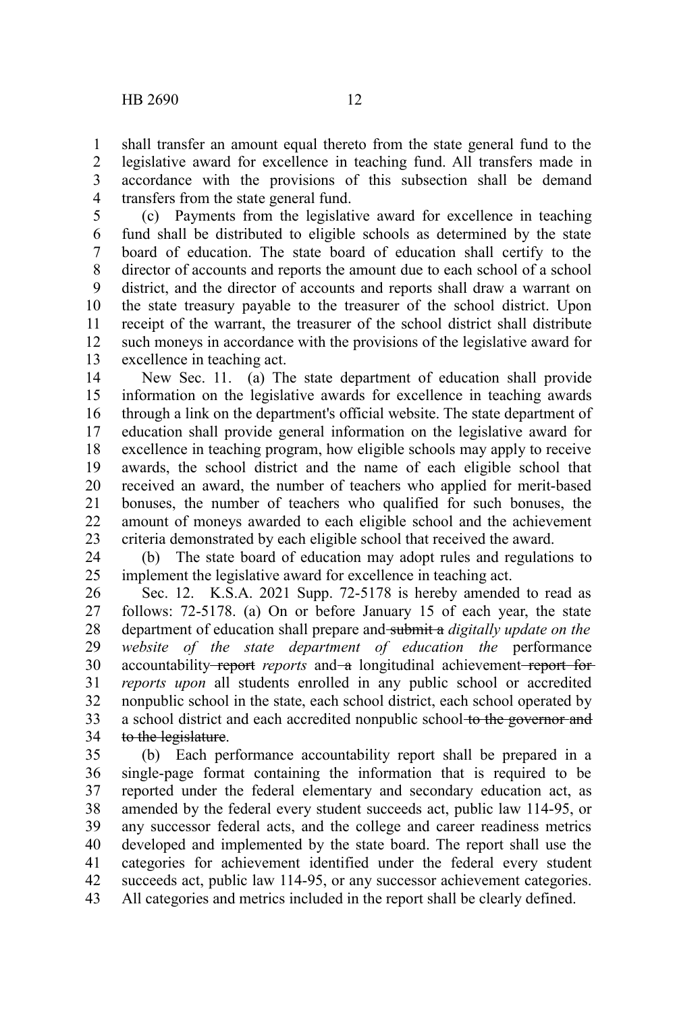shall transfer an amount equal thereto from the state general fund to the legislative award for excellence in teaching fund. All transfers made in accordance with the provisions of this subsection shall be demand transfers from the state general fund. 1 2 3 4

(c) Payments from the legislative award for excellence in teaching fund shall be distributed to eligible schools as determined by the state board of education. The state board of education shall certify to the director of accounts and reports the amount due to each school of a school district, and the director of accounts and reports shall draw a warrant on the state treasury payable to the treasurer of the school district. Upon receipt of the warrant, the treasurer of the school district shall distribute such moneys in accordance with the provisions of the legislative award for excellence in teaching act. 5 6 7 8 9 10 11 12 13

New Sec. 11. (a) The state department of education shall provide information on the legislative awards for excellence in teaching awards through a link on the department's official website. The state department of education shall provide general information on the legislative award for excellence in teaching program, how eligible schools may apply to receive awards, the school district and the name of each eligible school that received an award, the number of teachers who applied for merit-based bonuses, the number of teachers who qualified for such bonuses, the amount of moneys awarded to each eligible school and the achievement criteria demonstrated by each eligible school that received the award. 14 15 16 17 18 19 20 21 22 23

(b) The state board of education may adopt rules and regulations to implement the legislative award for excellence in teaching act. 24 25

Sec. 12. K.S.A. 2021 Supp. 72-5178 is hereby amended to read as follows: 72-5178. (a) On or before January 15 of each year, the state department of education shall prepare and submit a *digitally update on the website of the state department of education the* performance accountability report *reports* and a longitudinal achievement report for *reports upon* all students enrolled in any public school or accredited nonpublic school in the state, each school district, each school operated by a school district and each accredited nonpublic school to the governor and to the legislature. 26 27 28 29 30 31 32 33 34

(b) Each performance accountability report shall be prepared in a single-page format containing the information that is required to be reported under the federal elementary and secondary education act, as amended by the federal every student succeeds act, public law 114-95, or any successor federal acts, and the college and career readiness metrics developed and implemented by the state board. The report shall use the categories for achievement identified under the federal every student succeeds act, public law 114-95, or any successor achievement categories. All categories and metrics included in the report shall be clearly defined. 35 36 37 38 39 40 41 42 43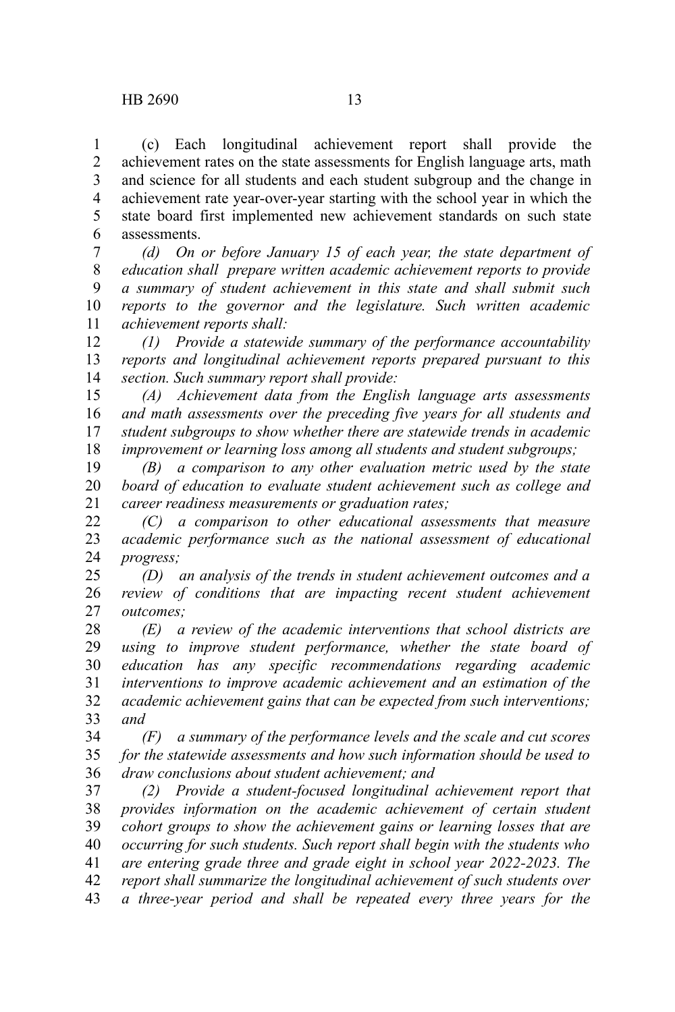(c) Each longitudinal achievement report shall provide the achievement rates on the state assessments for English language arts, math and science for all students and each student subgroup and the change in achievement rate year-over-year starting with the school year in which the state board first implemented new achievement standards on such state assessments. 1 2 3 4 5 6

*(d) On or before January 15 of each year, the state department of education shall prepare written academic achievement reports to provide a summary of student achievement in this state and shall submit such reports to the governor and the legislature. Such written academic achievement reports shall:* 7 8 9 10 11

*(1) Provide a statewide summary of the performance accountability reports and longitudinal achievement reports prepared pursuant to this section. Such summary report shall provide:* 12 13 14

*(A) Achievement data from the English language arts assessments and math assessments over the preceding five years for all students and student subgroups to show whether there are statewide trends in academic improvement or learning loss among all students and student subgroups;* 15 16 17 18

*(B) a comparison to any other evaluation metric used by the state board of education to evaluate student achievement such as college and career readiness measurements or graduation rates;* 19 20 21

*(C) a comparison to other educational assessments that measure academic performance such as the national assessment of educational progress;* 22 23 24

*(D) an analysis of the trends in student achievement outcomes and a review of conditions that are impacting recent student achievement outcomes;* 25 26 27

*(E) a review of the academic interventions that school districts are using to improve student performance, whether the state board of education has any specific recommendations regarding academic interventions to improve academic achievement and an estimation of the academic achievement gains that can be expected from such interventions; and* 28 29 30 31 32 33

*(F) a summary of the performance levels and the scale and cut scores for the statewide assessments and how such information should be used to draw conclusions about student achievement; and* 34 35 36

*(2) Provide a student-focused longitudinal achievement report that provides information on the academic achievement of certain student cohort groups to show the achievement gains or learning losses that are occurring for such students. Such report shall begin with the students who are entering grade three and grade eight in school year 2022-2023. The report shall summarize the longitudinal achievement of such students over a three-year period and shall be repeated every three years for the* 37 38 39 40 41 42 43